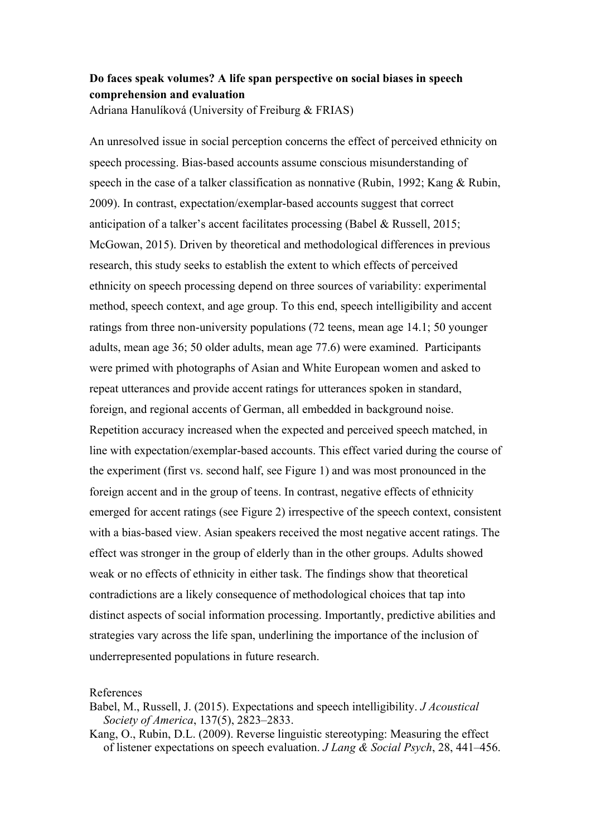## **Do faces speak volumes? A life span perspective on social biases in speech comprehension and evaluation**

Adriana Hanulíková (University of Freiburg & FRIAS)

An unresolved issue in social perception concerns the effect of perceived ethnicity on speech processing. Bias-based accounts assume conscious misunderstanding of speech in the case of a talker classification as nonnative (Rubin, 1992; Kang & Rubin, 2009). In contrast, expectation/exemplar-based accounts suggest that correct anticipation of a talker's accent facilitates processing (Babel & Russell, 2015; McGowan, 2015). Driven by theoretical and methodological differences in previous research, this study seeks to establish the extent to which effects of perceived ethnicity on speech processing depend on three sources of variability: experimental method, speech context, and age group. To this end, speech intelligibility and accent ratings from three non-university populations (72 teens, mean age 14.1; 50 younger adults, mean age 36; 50 older adults, mean age 77.6) were examined. Participants were primed with photographs of Asian and White European women and asked to repeat utterances and provide accent ratings for utterances spoken in standard, foreign, and regional accents of German, all embedded in background noise. Repetition accuracy increased when the expected and perceived speech matched, in line with expectation/exemplar-based accounts. This effect varied during the course of the experiment (first vs. second half, see Figure 1) and was most pronounced in the foreign accent and in the group of teens. In contrast, negative effects of ethnicity emerged for accent ratings (see Figure 2) irrespective of the speech context, consistent with a bias-based view. Asian speakers received the most negative accent ratings. The effect was stronger in the group of elderly than in the other groups. Adults showed weak or no effects of ethnicity in either task. The findings show that theoretical contradictions are a likely consequence of methodological choices that tap into distinct aspects of social information processing. Importantly, predictive abilities and strategies vary across the life span, underlining the importance of the inclusion of underrepresented populations in future research.

## References

- Babel, M., Russell, J. (2015). Expectations and speech intelligibility. *J Acoustical Society of America*, 137(5), 2823–2833.
- Kang, O., Rubin, D.L. (2009). Reverse linguistic stereotyping: Measuring the effect of listener expectations on speech evaluation. *J Lang & Social Psych*, 28, 441–456.